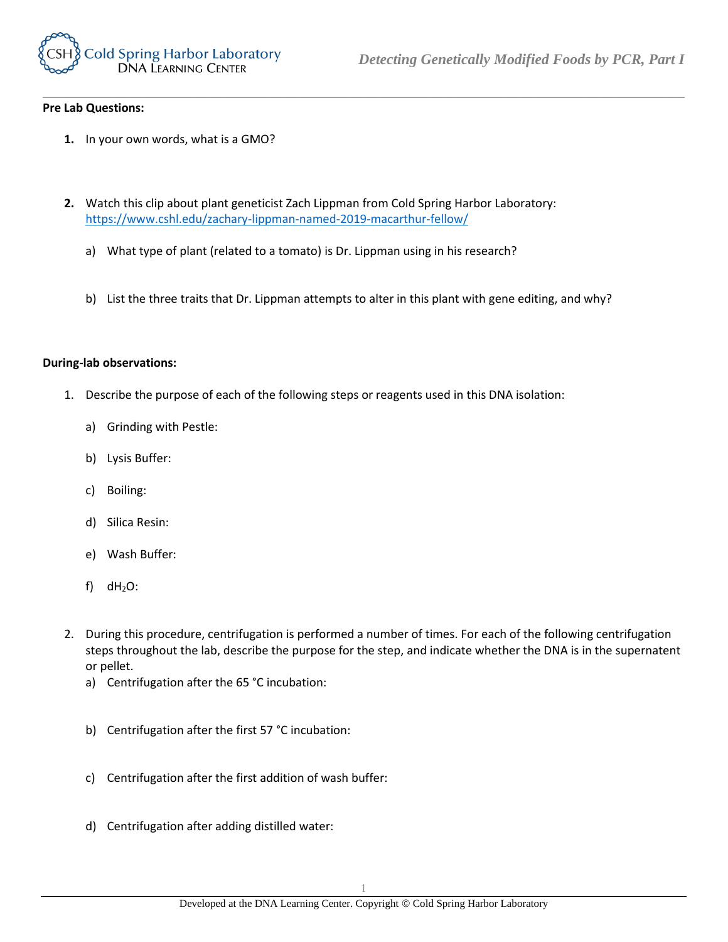

## **Pre Lab Questions:**

- **1.** In your own words, what is a GMO?
- **2.** Watch this clip about plant geneticist Zach Lippman from Cold Spring Harbor Laboratory: <https://www.cshl.edu/zachary-lippman-named-2019-macarthur-fellow/>
	- a) What type of plant (related to a tomato) is Dr. Lippman using in his research?
	- b) List the three traits that Dr. Lippman attempts to alter in this plant with gene editing, and why?

*\_\_\_\_\_\_\_\_\_\_\_\_\_\_\_\_\_\_\_\_\_\_\_\_\_\_\_\_\_\_\_\_\_\_\_\_\_\_\_\_\_\_\_\_\_\_\_\_\_\_\_\_\_\_\_\_\_\_\_\_\_\_\_\_\_\_\_\_\_\_\_\_\_\_\_\_\_\_\_\_\_\_\_\_\_\_\_\_\_\_*

## **During-lab observations:**

- 1. Describe the purpose of each of the following steps or reagents used in this DNA isolation:
	- a) Grinding with Pestle:
	- b) Lysis Buffer:
	- c) Boiling:
	- d) Silica Resin:
	- e) Wash Buffer:
	- f)  $dH_2O$ :
- 2. During this procedure, centrifugation is performed a number of times. For each of the following centrifugation steps throughout the lab, describe the purpose for the step, and indicate whether the DNA is in the supernatent or pellet.
	- a) Centrifugation after the 65 °C incubation:
	- b) Centrifugation after the first 57 °C incubation:
	- c) Centrifugation after the first addition of wash buffer:
	- d) Centrifugation after adding distilled water: